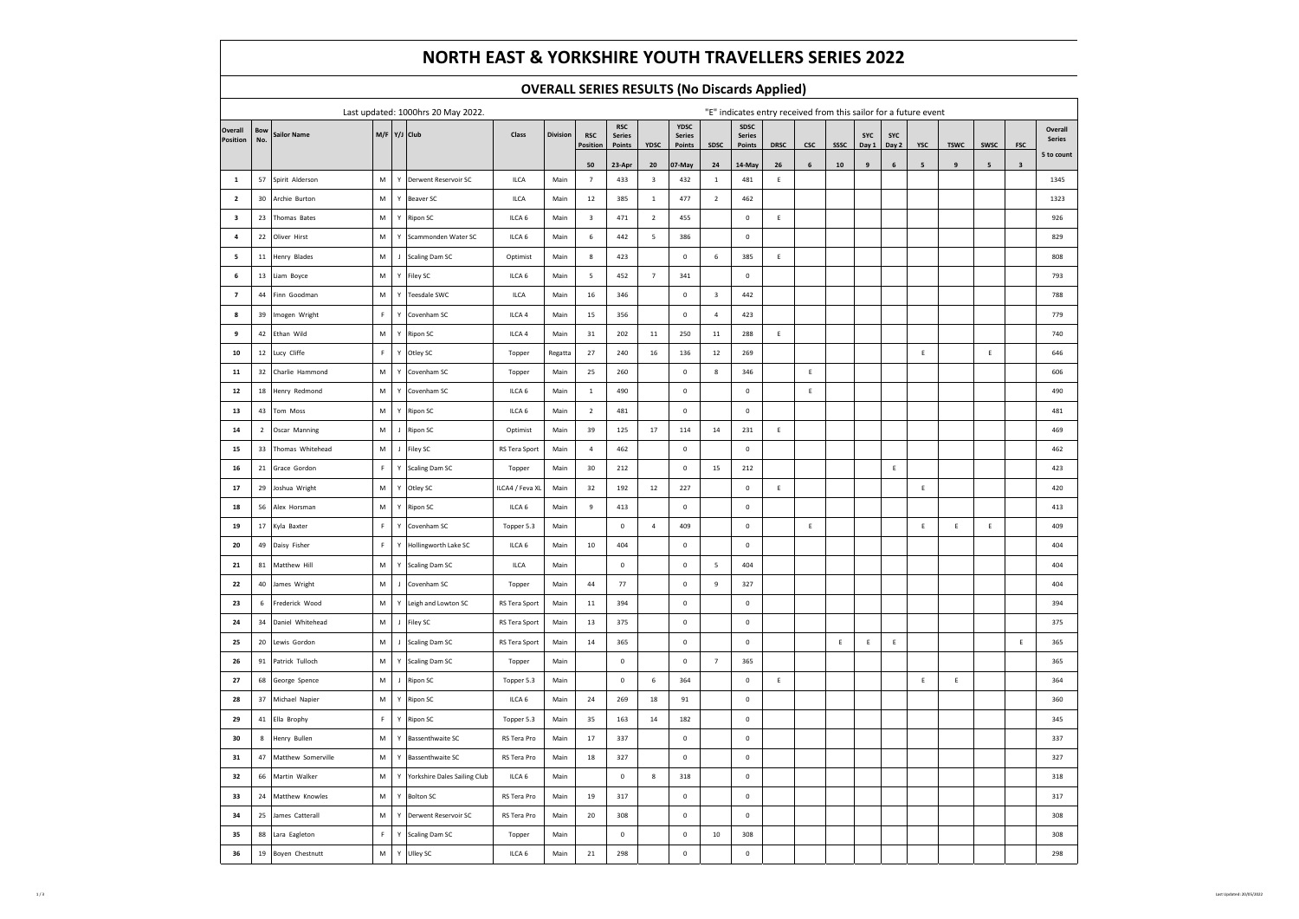# **NORTH EAST & YORKSHIRE YOUTH TRAVELLERS SERIES 2022**

### **OVERALL SERIES RESULTS (No Discards Applied)**

| Last updated: 1000hrs 20 May 2022. |                |                       |             |                |                                     |                   | "E" indicates entry received from this sailor for a future event |                 |                             |                         |                       |                         |                       |             |             |             |                  |            |                |                  |             |              |                             |
|------------------------------------|----------------|-----------------------|-------------|----------------|-------------------------------------|-------------------|------------------------------------------------------------------|-----------------|-----------------------------|-------------------------|-----------------------|-------------------------|-----------------------|-------------|-------------|-------------|------------------|------------|----------------|------------------|-------------|--------------|-----------------------------|
| Overall                            | <b>Bow</b>     | <b>Sailor Name</b>    |             |                | M/F Y/J Club                        | Class             | Division                                                         | <b>RSC</b>      | <b>RSC</b><br><b>Series</b> |                         | YDSC<br><b>Series</b> |                         | SDSC<br><b>Series</b> |             |             |             | SYC              | <b>SYC</b> |                |                  |             |              | Overall                     |
| Position                           | No.            |                       |             |                |                                     |                   |                                                                  | Position        | Points                      | YDSC                    | Points                | SDSC                    | Points                | <b>DRSC</b> | csc         | <b>SSSC</b> | Day 1            | Day 2      | <b>YSC</b>     | <b>TSWC</b>      | <b>SWSC</b> | FSC          | <b>Series</b><br>5 to count |
|                                    |                |                       |             |                |                                     |                   |                                                                  | 50              | 23-Apr                      | ${\bf 20}$              | 07-May                | ${\bf 24}$              | 14-May                | ${\bf 26}$  | $\,$ 6 $\,$ | ${\bf 10}$  | $\boldsymbol{9}$ | 6          | 5 <sub>5</sub> | $\boldsymbol{9}$ | 5           | $\mathbf{3}$ |                             |
| $\mathbf{1}$                       | 57             | Spirit Alderson       | M           |                | Y Derwent Reservoir SC              | ILCA              | Main                                                             | $7\phantom{.0}$ | 433                         | $\overline{\mathbf{3}}$ | 432                   | $\mathbf{1}$            | 481                   | E           |             |             |                  |            |                |                  |             |              | 1345                        |
| $\overline{2}$                     | 30             | Archie Burton         | ${\sf M}$   | $\mathsf{Y}$   | Beaver SC                           | <b>ILCA</b>       | Main                                                             | 12              | 385                         | $\mathbf{1}$            | 477                   | $\overline{2}$          | 462                   |             |             |             |                  |            |                |                  |             |              | 1323                        |
| $\overline{\mathbf{3}}$            | 23             | Thomas Bates          | M           | $\mathsf Y$    | Ripon SC                            | ILCA 6            | Main                                                             | 3               | 471                         | $\overline{2}$          | 455                   |                         | $\mathbf 0$           | E           |             |             |                  |            |                |                  |             |              | 926                         |
| $\overline{4}$                     |                | 22 Oliver Hirst       | ${\sf M}$   | $\mathsf{Y}$   | Scammonden Water SC                 | ILCA 6            | Main                                                             | $\,$ 6          | 442                         | 5                       | 386                   |                         | $\mathbb O$           |             |             |             |                  |            |                |                  |             |              | 829                         |
| 5                                  |                | 11 Henry Blades       | M           | $\mathbf{J}$   | <b>Scaling Dam SC</b>               | Optimist          | Main                                                             | 8               | 423                         |                         | $\mathbf 0$           | $\,$ 6                  | 385                   | E           |             |             |                  |            |                |                  |             |              | 808                         |
| 6                                  |                | 13 Liam Boyce         | ${\sf M}$   | Ÿ              | Filey SC                            | ILCA 6            | Main                                                             | -5              | 452                         | $\overline{7}$          | 341                   |                         | $\mathbf 0$           |             |             |             |                  |            |                |                  |             |              | 793                         |
| $\overline{7}$                     | $44\,$         | Finn Goodman          | ${\sf M}$   | Y              | Teesdale SWC                        | <b>ILCA</b>       | Main                                                             | 16              | 346                         |                         | $\mathbf 0$           | $\overline{\mathbf{3}}$ | 442                   |             |             |             |                  |            |                |                  |             |              | 788                         |
| 8                                  | 39             | Imogen Wright         | F.          | $\mathbf{v}$   | Covenham SC                         | ILCA 4            | Main                                                             | 15              | 356                         |                         | $\mathbf 0$           | $\overline{4}$          | 423                   |             |             |             |                  |            |                |                  |             |              | 779                         |
| 9                                  |                | 42 Ethan Wild         | ${\sf M}$   | $\mathsf Y$    | <b>Ripon SC</b>                     | ILCA 4            | Main                                                             | 31              | 202                         | $11\,$                  | 250                   | $11\,$                  | 288                   | $\mathsf E$ |             |             |                  |            |                |                  |             |              | 740                         |
| 10                                 |                | 12 Lucy Cliffe        | F.          | $\mathsf Y$    | Otley SC                            | Topper            | Regatta                                                          | 27              | 240                         | 16                      | 136                   | 12                      | 269                   |             |             |             |                  |            | $\mathsf E$    |                  | $\mathsf E$ |              | 646                         |
| ${\bf 11}$                         | 32             | Charlie Hammond       | M           | Y              | Covenham SC                         | Topper            | Main                                                             | 25              | 260                         |                         | $\mathbf 0$           | 8                       | 346                   |             | $\mathsf E$ |             |                  |            |                |                  |             |              | 606                         |
| 12                                 |                | 18 Henry Redmond      | ${\sf M}$   | $\mathsf Y$    | Covenham SC                         | ILCA 6            | Main                                                             | $\mathbf{1}$    | 490                         |                         | $\mathbf 0$           |                         | $\mathbf 0$           |             | $\mathsf E$ |             |                  |            |                |                  |             |              | 490                         |
| 13                                 |                | 43 Tom Moss           | ${\sf M}$   | $\mathsf{Y}$   | <b>Ripon SC</b>                     | ILCA 6            | Main                                                             | $\overline{2}$  | 481                         |                         | $\mathbf 0$           |                         | $\mathbf 0$           |             |             |             |                  |            |                |                  |             |              | 481                         |
| 14                                 | $\overline{2}$ | Oscar Manning         | ${\sf M}$   | $\mathsf J$    | Ripon SC                            | Optimist          | Main                                                             | 39              | 125                         | 17                      | 114                   | 14                      | 231                   | E           |             |             |                  |            |                |                  |             |              | 469                         |
| 15                                 | 33             | Thomas Whitehead      | M           | $\mathbf{I}$   | Filey SC                            | RS Tera Sport     | Main                                                             | $\overline{4}$  | 462                         |                         | $\mathbf 0$           |                         | $\mathbf 0$           |             |             |             |                  |            |                |                  |             |              | 462                         |
| 16                                 |                | 21 Grace Gordon       | F           | Y              | <b>Scaling Dam SC</b>               | Topper            | Main                                                             | 30              | 212                         |                         | $\mathbf 0$           | 15                      | 212                   |             |             |             |                  | E          |                |                  |             |              | 423                         |
| 17                                 |                | 29 Joshua Wright      | M           | Y              | Otley SC                            | ILCA4 / Feva XL   | Main                                                             | 32              | 192                         | 12                      | 227                   |                         | $\mathbf 0$           | $\mathsf E$ |             |             |                  |            | E              |                  |             |              | 420                         |
| 18                                 | 56             | Alex Horsman          | ${\sf M}$   | $\mathsf Y$    | Ripon SC                            | ILCA 6            | Main                                                             | 9               | 413                         |                         | $\mathbf 0$           |                         | $\mathbf 0$           |             |             |             |                  |            |                |                  |             |              | 413                         |
| 19                                 | 17             | Kyla Baxter           | $\mathbb F$ | $\mathsf{Y}$   | Covenham SC                         | Topper 5.3        | Main                                                             |                 | $\mathbf 0$                 | $\overline{4}$          | 409                   |                         | $\mathbf 0$           |             | $\mathsf E$ |             |                  |            | E              | $\mathsf E$      | E           |              | 409                         |
| 20                                 | 49             | Daisy Fisher          | $\mathsf F$ | Y              | Hollingworth Lake SC                | ILCA 6            | Main                                                             | 10              | 404                         |                         | $\mathbf 0$           |                         | $\mathbf 0$           |             |             |             |                  |            |                |                  |             |              | 404                         |
| 21                                 |                | 81 Matthew Hill       | ${\sf M}$   | $\mathsf{Y}$   | <b>Scaling Dam SC</b>               | <b>ILCA</b>       | Main                                                             |                 | $\mathbf 0$                 |                         | $\mathbf 0$           | 5                       | 404                   |             |             |             |                  |            |                |                  |             |              | 404                         |
| 22                                 | 40             | James Wright          | M           | J              | Covenham SC                         | Topper            | Main                                                             | 44              | 77                          |                         | $\mathbf 0$           | 9                       | 327                   |             |             |             |                  |            |                |                  |             |              | 404                         |
| 23                                 | 6              | Frederick Wood        | M           | Y              | Leigh and Lowton SC                 | RS Tera Sport     | Main                                                             | 11              | 394                         |                         | $\overline{0}$        |                         | $\Omega$              |             |             |             |                  |            |                |                  |             |              | 394                         |
| 24                                 | 34             | Daniel Whitehead      | ${\sf M}$   | $\overline{1}$ | Filey SC                            | RS Tera Sport     | Main                                                             | 13              | 375                         |                         | $\mathbf 0$           |                         | $\mathbf 0$           |             |             |             |                  |            |                |                  |             |              | 375                         |
| 25                                 |                | 20 Lewis Gordon       | M           | $\mathbf{J}$   | <b>Scaling Dam SC</b>               | RS Tera Sport     | Main                                                             | 14              | 365                         |                         | $\mathbf 0$           |                         | $\mathbb O$           |             |             | $\mathsf E$ | E                | Ε          |                |                  |             | E            | 365                         |
| 26                                 |                | 91 Patrick Tulloch    | ${\sf M}$   |                | Y Scaling Dam SC                    | Topper            | Main                                                             |                 | $\mathbf 0$                 |                         | $\mathbf 0$           | $\overline{7}$          | 365                   |             |             |             |                  |            |                |                  |             |              | 365                         |
| 27                                 | 68             | George Spence         | M           | $\mathsf J$    | <b>Ripon SC</b>                     | Topper 5.3        | Main                                                             |                 | $\mathbf 0$                 | 6                       | 364                   |                         | $\mathbf 0$           | E           |             |             |                  |            | E              | $\mathsf E$      |             |              | 364                         |
| 28                                 | 37             | Michael Napier        | M           | $\mathsf{Y}$   | Ripon SC                            | ILCA <sub>6</sub> | Main                                                             | 24              | 269                         | 18                      | 91                    |                         | $\mathbb O$           |             |             |             |                  |            |                |                  |             |              | 360                         |
| 29                                 |                | 41 Ella Brophy        | $\mathsf F$ | $\mathsf{Y}$   | Ripon SC                            | Topper 5.3        | Main                                                             | 35              | 163                         | 14                      | 182                   |                         | $\mathbf 0$           |             |             |             |                  |            |                |                  |             |              | 345                         |
| 30                                 | 8              | Henry Bullen          | ${\sf M}$   | $\mathsf Y$    | <b>Bassenthwaite SC</b>             | RS Tera Pro       | Main                                                             | 17              | 337                         |                         | $\mathbf 0$           |                         | $\mathbf 0$           |             |             |             |                  |            |                |                  |             |              | 337                         |
| 31                                 |                | 47 Matthew Somerville | M           | Y              | <b>Bassenthwaite SC</b>             | RS Tera Pro       | Main                                                             | 18              | 327                         |                         | $\overline{0}$        |                         | $\mathbf 0$           |             |             |             |                  |            |                |                  |             |              | 327                         |
| 32                                 | 66             | Martin Walker         | ${\sf M}$   | Υ              | <b>Yorkshire Dales Sailing Club</b> | ILCA 6            | Main                                                             |                 | $\mathbf 0$                 | 8                       | 318                   |                         | $\mathbf 0$           |             |             |             |                  |            |                |                  |             |              | 318                         |
| 33                                 | 24             | Matthew Knowles       | M           | Y              | <b>Bolton SC</b>                    | RS Tera Pro       | Main                                                             | 19              | 317                         |                         | $\overline{0}$        |                         | $\mathbf 0$           |             |             |             |                  |            |                |                  |             |              | 317                         |
| 34                                 |                | 25 James Catterall    | M           | $\mathbf{Y}$   | Derwent Reservoir SC                | RS Tera Pro       | Main                                                             | 20              | 308                         |                         | $\mathbf 0$           |                         | $\circ$               |             |             |             |                  |            |                |                  |             |              | 308                         |
| 35                                 | 88             | Lara Eagleton         | $\mathbb F$ | $\mathsf{Y}$   | <b>Scaling Dam SC</b>               | Topper            | Main                                                             |                 | $\mathbf 0$                 |                         | $\mathbf 0$           | $10\,$                  | 308                   |             |             |             |                  |            |                |                  |             |              | 308                         |
| 36                                 |                | 19 Boyen Chestnutt    | ${\sf M}$   | $\mathsf Y$    | Ulley SC                            | ILCA 6            | Main                                                             | 21              | 298                         |                         | $\mathbf 0$           |                         | $\Omega$              |             |             |             |                  |            |                |                  |             |              | 298                         |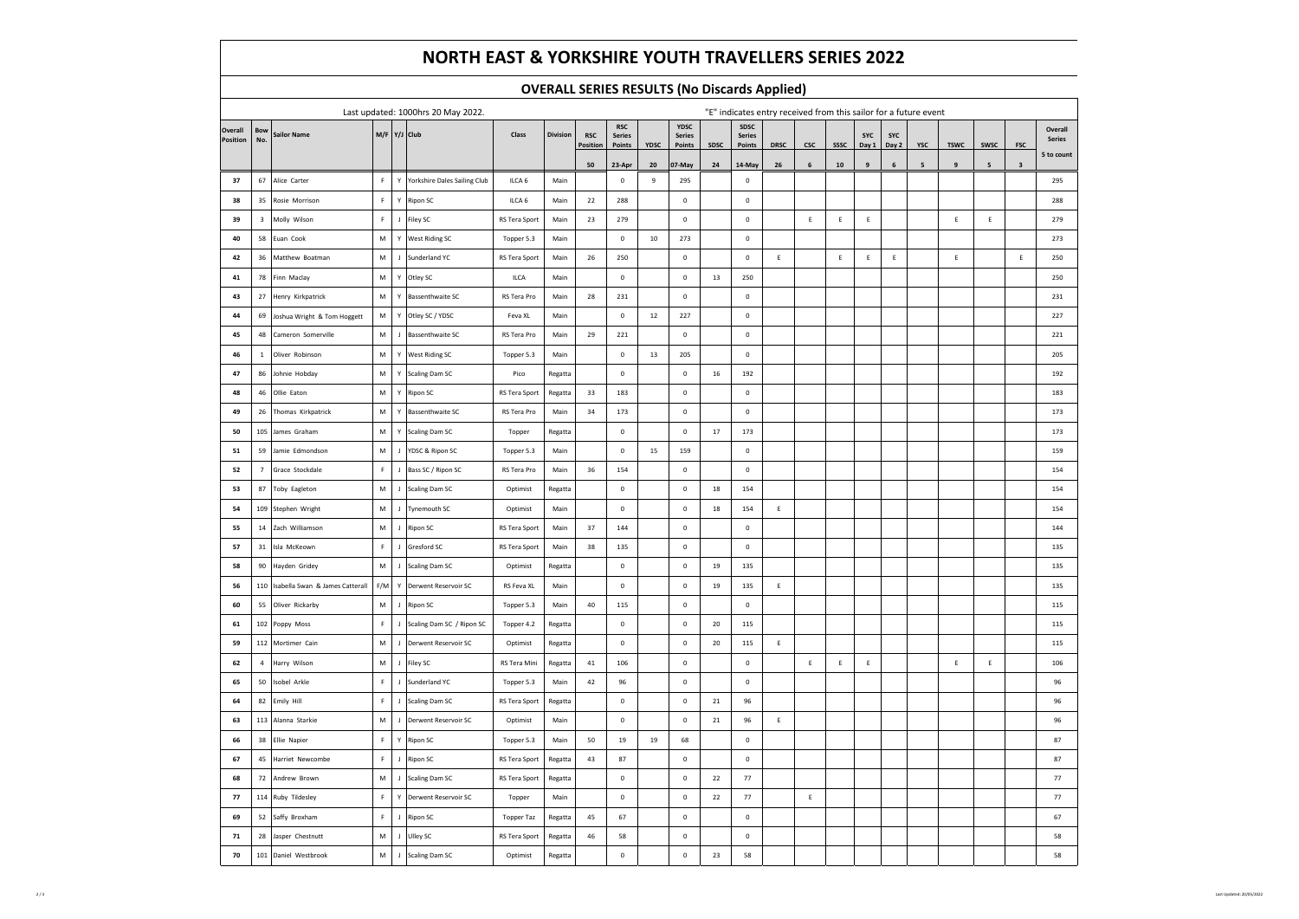# **NORTH EAST & YORKSHIRE YOUTH TRAVELLERS SERIES 2022**

### **OVERALL SERIES RESULTS (No Discards Applied)**

|          |                         |                                     | Last updated: 1000hrs 20 May 2022. | "E" indicates entry received from this sailor for a future event |                                |                   |                 |            |                             |      |                       |        |                       |             |             |             |             |             |                |             |             |              |                      |
|----------|-------------------------|-------------------------------------|------------------------------------|------------------------------------------------------------------|--------------------------------|-------------------|-----------------|------------|-----------------------------|------|-----------------------|--------|-----------------------|-------------|-------------|-------------|-------------|-------------|----------------|-------------|-------------|--------------|----------------------|
| Overall  | Bow                     | <b>Sailor Name</b>                  |                                    |                                                                  | M/F Y/J Club                   | Class             | <b>Division</b> | <b>RSC</b> | <b>RSC</b><br><b>Series</b> |      | YDSC<br><b>Series</b> |        | SDSC<br><b>Series</b> |             |             |             | <b>SYC</b>  | SYC         |                |             |             |              | Overall              |
| Position | No.                     |                                     |                                    |                                                                  |                                |                   |                 | Position   | Points                      | YDSC | Points                | SDSC   | Points                | <b>DRSC</b> | csc         | SSSC        | Day 1       | Day 2       | YSC            | <b>TSWC</b> | <b>SWSC</b> | <b>FSC</b>   | Series<br>5 to count |
|          |                         |                                     |                                    |                                                                  |                                |                   |                 | 50         | 23-Apr                      | 20   | 07-May                | 24     | 14-May                | 26          | 6           | 10          | 9           | 6           | $5\phantom{a}$ | 9           | 5           | $\mathbf{3}$ |                      |
| 37       | 67                      | Alice Carter                        | F                                  |                                                                  | Y Yorkshire Dales Sailing Club | ILCA 6            | Main            |            | $\pmb{0}$                   | 9    | 295                   |        | $\mathbf 0$           |             |             |             |             |             |                |             |             |              | 295                  |
| 38       | 35                      | Rosie Morrison                      | $\mathsf F$                        |                                                                  | Y Ripon SC                     | ILCA 6            | Main            | 22         | 288                         |      | $\mathbb O$           |        | $\mathbf 0$           |             |             |             |             |             |                |             |             |              | 288                  |
| 39       | $\overline{\mathbf{3}}$ | Molly Wilson                        | $\mathsf F$                        |                                                                  | J Filey SC                     | RS Tera Sport     | Main            | 23         | 279                         |      | $\mathbf 0$           |        | $\mathbf 0$           |             | $\mathsf E$ | $\mathsf E$ | E           |             |                | E           | E           |              | 279                  |
| 40       | 58                      | Euan Cook                           | ${\sf M}$                          | Y                                                                | <b>West Riding SC</b>          | Topper 5.3        | Main            |            | $\mathbf 0$                 | 10   | 273                   |        | $\mathbf 0$           |             |             |             |             |             |                |             |             |              | 273                  |
| 42       | 36                      | Matthew Boatman                     | M                                  |                                                                  | J Sunderland YC                | RS Tera Sport     | Main            | 26         | 250                         |      | $\mathbf 0$           |        | $\mathbf 0$           | $\mathsf E$ |             | Ε           | $\mathsf E$ | $\mathsf E$ |                | $\mathsf E$ |             | E            | 250                  |
| 41       | 78                      | Finn Maclay                         | M                                  |                                                                  | Y Otley SC                     | ILCA              | Main            |            | $\mathbf 0$                 |      | $\mathbb O$           | 13     | 250                   |             |             |             |             |             |                |             |             |              | 250                  |
| 43       | 27                      | Henry Kirkpatrick                   | M                                  |                                                                  | Y Bassenthwaite SC             | RS Tera Pro       | Main            | 28         | 231                         |      | $\mathbf 0$           |        | $\mathbf 0$           |             |             |             |             |             |                |             |             |              | 231                  |
| 44       | 69                      | Joshua Wright & Tom Hoggett         | M                                  |                                                                  | Y Otley SC / YDSC              | Feva XL           | Main            |            | $\mathbf 0$                 | 12   | 227                   |        | $\mathbf 0$           |             |             |             |             |             |                |             |             |              | 227                  |
| 45       | 48                      | Cameron Somerville                  | M                                  |                                                                  | J Bassenthwaite SC             | RS Tera Pro       | Main            | 29         | 221                         |      | $\mathbf 0$           |        | $\mathbf 0$           |             |             |             |             |             |                |             |             |              | 221                  |
| 46       | $\,$ 1 $\,$             | Oliver Robinson                     | M                                  |                                                                  | Y West Riding SC               | Topper 5.3        | Main            |            | $\mathbf 0$                 | 13   | 205                   |        | $\mathbf 0$           |             |             |             |             |             |                |             |             |              | 205                  |
| 47       | 86                      | Johnie Hobdav                       | ${\sf M}$                          |                                                                  | Y Scaling Dam SC               | Pico              | Regatta         |            | $\mathbf 0$                 |      | $\mathbf 0$           | 16     | 192                   |             |             |             |             |             |                |             |             |              | 192                  |
| 48       | 46                      | Ollie Eaton                         | ${\sf M}$                          |                                                                  | Y Ripon SC                     | RS Tera Sport     | Regatta         | 33         | 183                         |      | $\mathbb O$           |        | $\mathbf 0$           |             |             |             |             |             |                |             |             |              | 183                  |
| 49       | 26                      | Thomas Kirkpatrick                  | ${\sf M}$                          | Y                                                                | <b>Bassenthwaite SC</b>        | RS Tera Pro       | Main            | 34         | 173                         |      | $\pmb{0}$             |        | $\mathbf 0$           |             |             |             |             |             |                |             |             |              | 173                  |
| 50       | 105                     | James Graham                        | M                                  |                                                                  | Y Scaling Dam SC               | Topper            | Regatta         |            | $\mathbf 0$                 |      | $\mathbf 0$           | 17     | 173                   |             |             |             |             |             |                |             |             |              | 173                  |
| 51       | 59                      | Jamie Edmondson                     | ${\sf M}$                          |                                                                  | J YDSC & Ripon SC              | Topper 5.3        | Main            |            | $\mathbf 0$                 | 15   | 159                   |        | $\mathbf 0$           |             |             |             |             |             |                |             |             |              | 159                  |
| 52       | $\overline{7}$          | Grace Stockdale                     | $\mathbb F$                        |                                                                  | J Bass SC / Ripon SC           | RS Tera Pro       | Main            | 36         | 154                         |      | $\mathbf 0$           |        | $\mathbf 0$           |             |             |             |             |             |                |             |             |              | 154                  |
| 53       | 87                      | Toby Eagleton                       | ${\sf M}$                          |                                                                  | J Scaling Dam SC               | Optimist          | Regatta         |            | $\mathbf 0$                 |      | $\mathbf 0$           | 18     | 154                   |             |             |             |             |             |                |             |             |              | 154                  |
| 54       | 109                     | Stephen Wright                      | M                                  |                                                                  | J Tynemouth SC                 | Optimist          | Main            |            | $\mathbf 0$                 |      | $\mathbf 0$           | 18     | 154                   | E           |             |             |             |             |                |             |             |              | 154                  |
| 55       | 14                      | Zach Williamson                     | M                                  |                                                                  | J Ripon SC                     | RS Tera Sport     | Main            | 37         | 144                         |      | $\mathbb O$           |        | $\mathbf 0$           |             |             |             |             |             |                |             |             |              | 144                  |
| 57       | 31                      | Isla McKeown                        | $\mathsf F$                        | J                                                                | Gresford SC                    | RS Tera Sport     | Main            | 38         | 135                         |      | $\mathbf 0$           |        | $\circ$               |             |             |             |             |             |                |             |             |              | 135                  |
| 58       | 90                      | Hayden Gridey                       | M                                  |                                                                  | J Scaling Dam SC               | Optimist          | Regatta         |            | $\mathbf 0$                 |      | $\mathbf 0$           | 19     | 135                   |             |             |             |             |             |                |             |             |              | 135                  |
| 56       |                         | 110 Isabella Swan & James Catterall | F/M                                |                                                                  | Y Derwent Reservoir SC         | RS Feva XL        | Main            |            | $\mathbf 0$                 |      | $\mathbf 0$           | 19     | 135                   | $\mathsf E$ |             |             |             |             |                |             |             |              | 135                  |
| 60       | 55                      | Oliver Rickarby                     | M                                  |                                                                  | J Ripon SC                     | Topper 5.3        | Main            | 40         | 115                         |      | $\mathbf 0$           |        | $\mathbf 0$           |             |             |             |             |             |                |             |             |              | 115                  |
| 61       |                         | 102 Poppy Moss                      | $\mathsf F$                        |                                                                  | J Scaling Dam SC / Ripon SC    | Topper 4.2        | Regatta         |            | $\mathbf 0$                 |      | $\mathbf 0$           | 20     | 115                   |             |             |             |             |             |                |             |             |              | 115                  |
| 59       | 112                     | Mortimer Cain                       | ${\sf M}$                          |                                                                  | J Derwent Reservoir SC         | Optimist          | Regatta         |            | $\pmb{0}$                   |      | $\mathbf 0$           | $20\,$ | 115                   | Ε           |             |             |             |             |                |             |             |              | 115                  |
| 62       | $\overline{4}$          | Harry Wilson                        | M                                  |                                                                  | J Filey SC                     | RS Tera Mini      | Regatta         | 41         | 106                         |      | $\mathbb O$           |        | $\mathbf 0$           |             | $\mathsf E$ | Ε           | E           |             |                | $\mathsf E$ | $\mathsf E$ |              | 106                  |
| 65       | 50                      | Isobel Arkle                        | $\mathbb F$                        |                                                                  | J Sunderland YC                | Topper 5.3        | Main            | 42         | 96                          |      | $\mathbf 0$           |        | $\mathbf 0$           |             |             |             |             |             |                |             |             |              | 96                   |
| 64       | 82                      | Emily Hill                          | $\mathbb{R}^+$                     |                                                                  | J Scaling Dam SC               | RS Tera Sport     | Regatta         |            | $\mathbf 0$                 |      | $\mathbf 0$           | 21     | 96                    |             |             |             |             |             |                |             |             |              | 96                   |
| 63       | 113                     | Alanna Starkie                      | ${\sf M}$                          |                                                                  | J Derwent Reservoir SC         | Optimist          | Main            |            | $\mathbf 0$                 |      | $\mathbf 0$           | $21\,$ | 96                    | $\mathsf E$ |             |             |             |             |                |             |             |              | 96                   |
| 66       | 38                      | Ellie Napier                        | F                                  |                                                                  | Y Ripon SC                     | Topper 5.3        | Main            | 50         | 19                          | 19   | 68                    |        | $\mathbf 0$           |             |             |             |             |             |                |             |             |              | 87                   |
| 67       | 45                      | Harriet Newcombe                    | $\mathbb{R}^+$                     |                                                                  | J Ripon SC                     | RS Tera Sport     | Regatta         | 43         | 87                          |      | $\mathbf 0$           |        | $\mathbf 0$           |             |             |             |             |             |                |             |             |              | 87                   |
| 68       | 72                      | Andrew Brown                        | M                                  |                                                                  | J Scaling Dam SC               | RS Tera Sport     | Regatta         |            | $\mathbf 0$                 |      | $\mathbb O$           | 22     | 77                    |             |             |             |             |             |                |             |             |              | 77                   |
| 77       | 114                     | Ruby Tildesley                      | $\mathbb F$                        |                                                                  | Y Derwent Reservoir SC         | Topper            | Main            |            | $\mathbf 0$                 |      | $\mathbf 0$           | 22     | 77                    |             | $\mathsf E$ |             |             |             |                |             |             |              | 77                   |
| 69       | 52                      | Saffy Broxham                       | F                                  |                                                                  | J Ripon SC                     | <b>Topper Taz</b> | Regatta         | 45         | 67                          |      | $\mathbb O$           |        | $\mathbf 0$           |             |             |             |             |             |                |             |             |              | 67                   |
| 71       | 28                      | Jasper Chestnutt                    | ${\sf M}$                          | $\mathbf{L}$                                                     | Ulley SC                       | RS Tera Sport     | Regatta         | 46         | 58                          |      | $\pmb{0}$             |        | $\Omega$              |             |             |             |             |             |                |             |             |              | 58                   |
| 70       |                         | 101 Daniel Westbrook                | M                                  |                                                                  | J Scaling Dam SC               | Optimist          | Regatta         |            | $\pmb{0}$                   |      | $\pmb{0}$             | 23     | 58                    |             |             |             |             |             |                |             |             |              | 58                   |